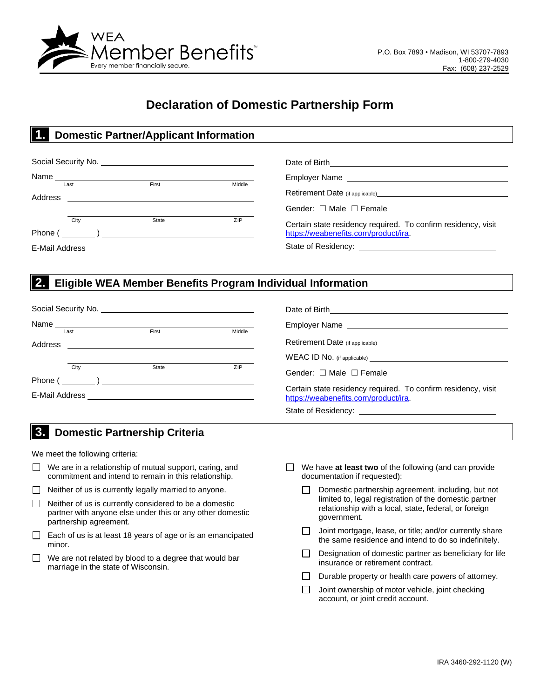

# **Declaration of Domestic Partnership Form**

#### **1.. Domestic Partner/Applicant Information**

|                |      | Name $\frac{1}{1}$                                                                                                                                                                                                                                                                                                                                      |        |                                                                                                                                                                                                                                       |  |
|----------------|------|---------------------------------------------------------------------------------------------------------------------------------------------------------------------------------------------------------------------------------------------------------------------------------------------------------------------------------------------------------|--------|---------------------------------------------------------------------------------------------------------------------------------------------------------------------------------------------------------------------------------------|--|
| Address        | Last | First                                                                                                                                                                                                                                                                                                                                                   | Middle | Retirement Date (if applicable)<br><u>Letter and the substitute of the substitute of the substitute of the substitute</u> of the substitute of the substitute of the substitute of the substitute of the substitute of the substitute |  |
|                |      |                                                                                                                                                                                                                                                                                                                                                         |        | Gender: $\Box$ Male $\Box$ Female                                                                                                                                                                                                     |  |
| Phone (        | City | State<br>$\begin{picture}(20,20)(-0.00,0.00) \put(0,0){\line(1,0){10}} \put(15,0){\line(1,0){10}} \put(15,0){\line(1,0){10}} \put(15,0){\line(1,0){10}} \put(15,0){\line(1,0){10}} \put(15,0){\line(1,0){10}} \put(15,0){\line(1,0){10}} \put(15,0){\line(1,0){10}} \put(15,0){\line(1,0){10}} \put(15,0){\line(1,0){10}} \put(15,0){\line(1,0){10}} \$ | ZIP    | Certain state residency required. To confirm residency, visit<br>https://weabenefits.com/product/ira.                                                                                                                                 |  |
| E-Mail Address |      |                                                                                                                                                                                                                                                                                                                                                         |        |                                                                                                                                                                                                                                       |  |

#### **2.. Eligible WEA Member Benefits Program Individual Information**

|         | Last | First | Middle |                                                                                                       |
|---------|------|-------|--------|-------------------------------------------------------------------------------------------------------|
| Address |      |       |        |                                                                                                       |
|         |      |       |        |                                                                                                       |
|         | City | State | ZIP    | Gender: $\Box$ Male $\Box$ Female                                                                     |
|         |      |       |        |                                                                                                       |
|         |      |       |        | Certain state residency required. To confirm residency, visit<br>https://weabenefits.com/product/ira. |
|         |      |       |        |                                                                                                       |

### **3.. Domestic Partnership Criteria**

We meet the following criteria:

- $\Box$  We are in a relationship of mutual support, caring, and commitment and intend to remain in this relationship.
- $\Box$  Neither of us is currently legally married to anyone.
- $\Box$  Neither of us is currently considered to be a domestic partner with anyone else under this or any other domestic partnership agreement.
- $\Box$  Each of us is at least 18 years of age or is an emancipated minor.
- We are not related by blood to a degree that would bar  $\Box$ marriage in the state of Wisconsin.
- We have **at least two** of the following (and can provide documentation if requested):
	- Domestic partnership agreement, including, but not □ limited to, legal registration of the domestic partner relationship with a local, state, federal, or foreign government.
	- Joint mortgage, lease, or title; and/or currently share  $\Box$ the same residence and intend to do so indefinitely.
	- $\Box$ Designation of domestic partner as beneficiary for life insurance or retirement contract.
	- $\Box$ Durable property or health care powers of attorney.
	- Joint ownership of motor vehicle, joint checking  $\Box$ account, or joint credit account.